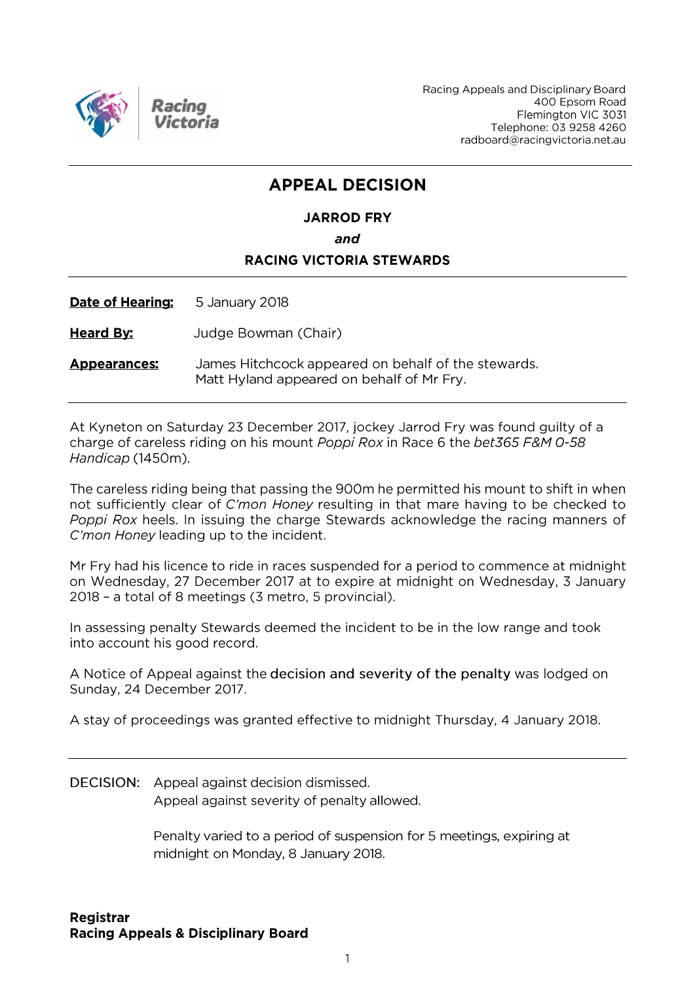

Racing Appeals and Disciplinary Board 400 Epsom Road Flemington VIC 3031 Telephone: 03 9258 4260 radboard@racingvictoria.net.au

# **APPEAL DECISION**

# **JARROD FRY** and **RACING VICTORIA STEWARDS**

Date of Hearing: 5 January 2018

**Heard By:** Judge Bowman (Chair)

James Hitchcock appeared on behalf of the stewards. **Appearances:** Matt Hyland appeared on behalf of Mr Fry.

At Kyneton on Saturday 23 December 2017, jockey Jarrod Fry was found guilty of a charge of careless riding on his mount Poppi Rox in Race 6 the bet365 F&M 0-58 Handicap (1450m).

The careless riding being that passing the 900m he permitted his mount to shift in when not sufficiently clear of C'mon Honey resulting in that mare having to be checked to Poppi Rox heels. In issuing the charge Stewards acknowledge the racing manners of C'mon Honey leading up to the incident.

Mr Fry had his licence to ride in races suspended for a period to commence at midnight on Wednesday, 27 December 2017 at to expire at midnight on Wednesday, 3 January 2018 - a total of 8 meetings (3 metro, 5 provincial).

In assessing penalty Stewards deemed the incident to be in the low range and took into account his good record.

A Notice of Appeal against the decision and severity of the penalty was lodged on Sunday, 24 December 2017.

A stay of proceedings was granted effective to midnight Thursday, 4 January 2018.

DECISION: Appeal against decision dismissed. Appeal against severity of penalty allowed.

> Penalty varied to a period of suspension for 5 meetings, expiring at midnight on Monday, 8 January 2018.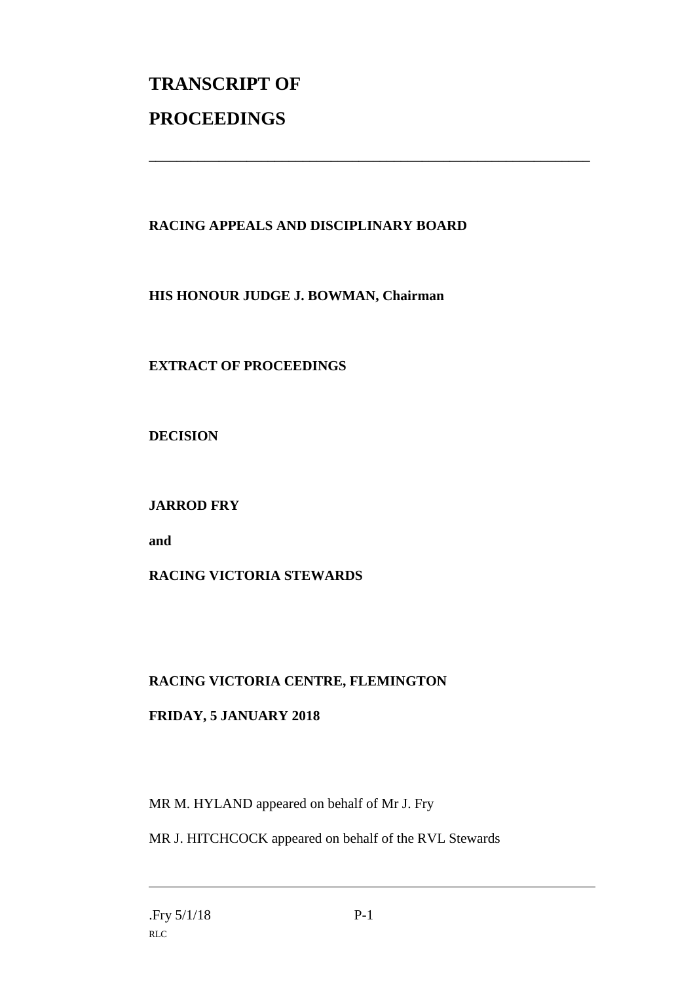# **TRANSCRIPT OF PROCEEDINGS**

## **RACING APPEALS AND DISCIPLINARY BOARD**

\_\_\_\_\_\_\_\_\_\_\_\_\_\_\_\_\_\_\_\_\_\_\_\_\_\_\_\_\_\_\_\_\_\_\_\_\_\_\_\_\_\_\_\_\_\_\_\_\_\_\_\_\_\_\_\_\_\_\_\_\_\_\_

**HIS HONOUR JUDGE J. BOWMAN, Chairman**

# **EXTRACT OF PROCEEDINGS**

**DECISION**

## **JARROD FRY**

**and**

## **RACING VICTORIA STEWARDS**

## **RACING VICTORIA CENTRE, FLEMINGTON**

## **FRIDAY, 5 JANUARY 2018**

MR M. HYLAND appeared on behalf of Mr J. Fry

MR J. HITCHCOCK appeared on behalf of the RVL Stewards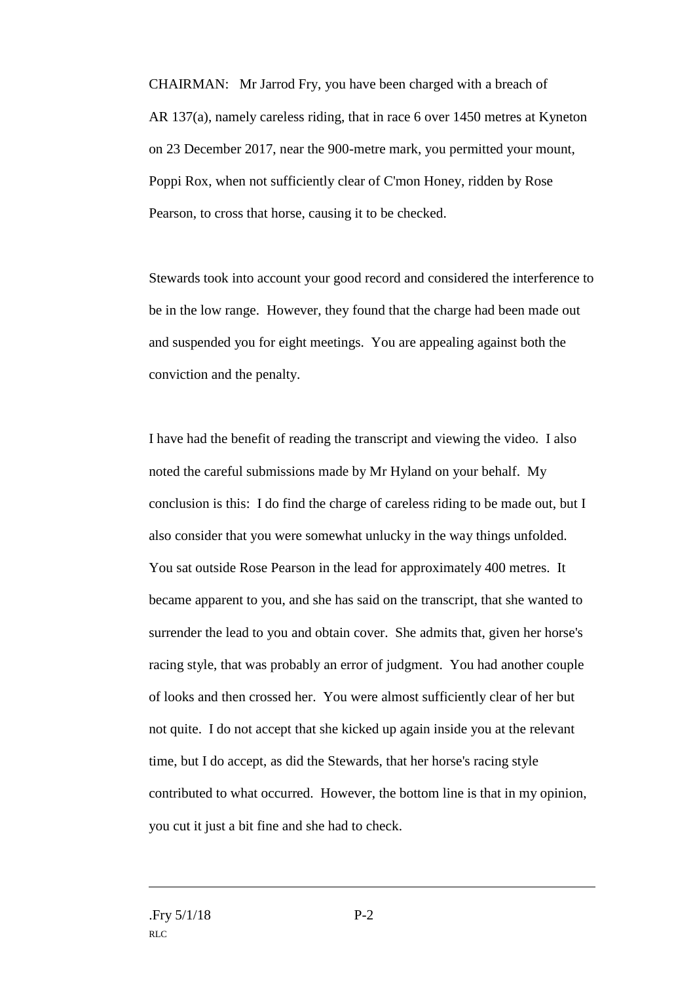CHAIRMAN: Mr Jarrod Fry, you have been charged with a breach of AR 137(a), namely careless riding, that in race 6 over 1450 metres at Kyneton on 23 December 2017, near the 900-metre mark, you permitted your mount, Poppi Rox, when not sufficiently clear of C'mon Honey, ridden by Rose Pearson, to cross that horse, causing it to be checked.

Stewards took into account your good record and considered the interference to be in the low range. However, they found that the charge had been made out and suspended you for eight meetings. You are appealing against both the conviction and the penalty.

I have had the benefit of reading the transcript and viewing the video. I also noted the careful submissions made by Mr Hyland on your behalf. My conclusion is this: I do find the charge of careless riding to be made out, but I also consider that you were somewhat unlucky in the way things unfolded. You sat outside Rose Pearson in the lead for approximately 400 metres. It became apparent to you, and she has said on the transcript, that she wanted to surrender the lead to you and obtain cover. She admits that, given her horse's racing style, that was probably an error of judgment. You had another couple of looks and then crossed her. You were almost sufficiently clear of her but not quite. I do not accept that she kicked up again inside you at the relevant time, but I do accept, as did the Stewards, that her horse's racing style contributed to what occurred. However, the bottom line is that in my opinion, you cut it just a bit fine and she had to check.